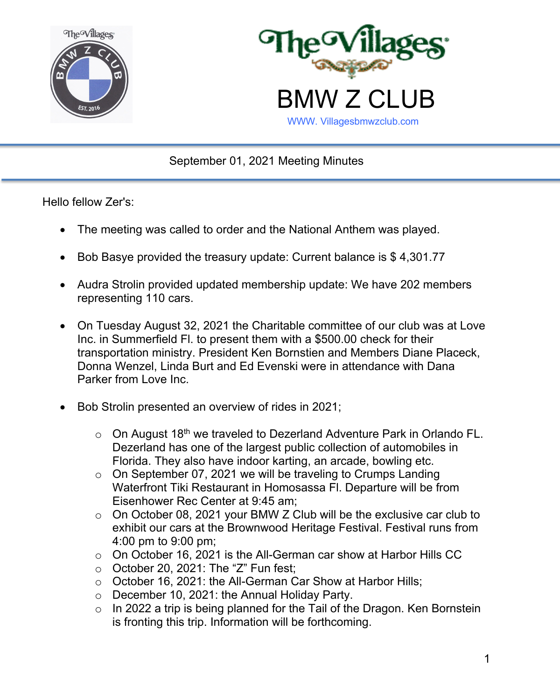



September 01, 2021 Meeting Minutes

Hello fellow Zer's:

- The meeting was called to order and the National Anthem was played.
- Bob Basye provided the treasury update: Current balance is \$4,301.77
- Audra Strolin provided updated membership update: We have 202 members representing 110 cars.
- On Tuesday August 32, 2021 the Charitable committee of our club was at Love Inc. in Summerfield Fl. to present them with a \$500.00 check for their transportation ministry. President Ken Bornstien and Members Diane Placeck, Donna Wenzel, Linda Burt and Ed Evenski were in attendance with Dana Parker from Love Inc.
- Bob Strolin presented an overview of rides in 2021;
	- $\circ$  On August 18<sup>th</sup> we traveled to Dezerland Adventure Park in Orlando FL. Dezerland has one of the largest public collection of automobiles in Florida. They also have indoor karting, an arcade, bowling etc.
	- $\circ$  On September 07, 2021 we will be traveling to Crumps Landing Waterfront Tiki Restaurant in Homosassa Fl. Departure will be from Eisenhower Rec Center at 9:45 am;
	- $\circ$  On October 08, 2021 your BMW Z Club will be the exclusive car club to exhibit our cars at the Brownwood Heritage Festival. Festival runs from 4:00 pm to 9:00 pm;
	- o On October 16, 2021 is the All-German car show at Harbor Hills CC
	- $\circ$  October 20, 2021: The "Z" Fun fest;
	- o October 16, 2021: the All-German Car Show at Harbor Hills;
	- o December 10, 2021: the Annual Holiday Party.
	- $\circ$  In 2022 a trip is being planned for the Tail of the Dragon. Ken Bornstein is fronting this trip. Information will be forthcoming.